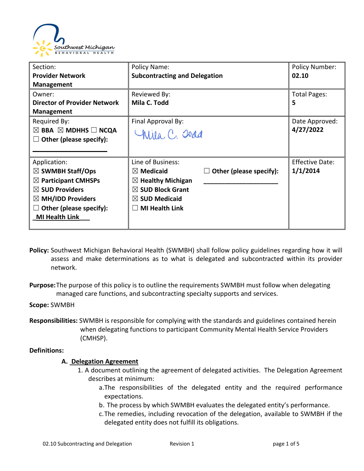

| Section:                                      | Policy Name:                         |                                | <b>Policy Number:</b>  |
|-----------------------------------------------|--------------------------------------|--------------------------------|------------------------|
| <b>Provider Network</b>                       | <b>Subcontracting and Delegation</b> |                                | 02.10                  |
| <b>Management</b>                             |                                      |                                |                        |
| Owner:                                        | Reviewed By:                         |                                | Total Pages:           |
| <b>Director of Provider Network</b>           | Mila C. Todd                         |                                | 5                      |
| <b>Management</b>                             |                                      |                                |                        |
| Required By:                                  | Final Approval By:                   |                                | Date Approved:         |
| $\boxtimes$ BBA $\boxtimes$ MDHHS $\Box$ NCQA | Wila, C. Joad                        |                                | 4/27/2022              |
| Other (please specify):                       |                                      |                                |                        |
|                                               |                                      |                                |                        |
| Application:                                  | Line of Business:                    |                                | <b>Effective Date:</b> |
| $\boxtimes$ SWMBH Staff/Ops                   | $\boxtimes$ Medicaid                 | $\Box$ Other (please specify): | 1/1/2014               |
| $\boxtimes$ Participant CMHSPs                | $\boxtimes$ Healthy Michigan         |                                |                        |
| $\boxtimes$ SUD Providers                     | $\boxtimes$ SUD Block Grant          |                                |                        |
| $\boxtimes$ MH/IDD Providers                  | $\boxtimes$ SUD Medicaid             |                                |                        |
| Other (please specify):                       | <b>MI Health Link</b>                |                                |                        |
| <b>MI Health Link</b>                         |                                      |                                |                        |
|                                               |                                      |                                |                        |

- **Policy:** Southwest Michigan Behavioral Health (SWMBH) shall follow policy guidelines regarding how it will assess and make determinations as to what is delegated and subcontracted within its provider network.
- **Purpose:**The purpose of this policy is to outline the requirements SWMBH must follow when delegating managed care functions, and subcontracting specialty supports and services.

**Scope:** SWMBH

**Responsibilities:** SWMBH is responsible for complying with the standards and guidelines contained herein when delegating functions to participant Community Mental Health Service Providers (CMHSP).

## **Definitions:**

## **A. Delegation Agreement**

- 1. A document outlining the agreement of delegated activities. The Delegation Agreement describes at minimum:
	- a.The responsibilities of the delegated entity and the required performance expectations.
	- b. The process by which SWMBH evaluates the delegated entity's performance.
	- c.The remedies, including revocation of the delegation, available to SWMBH if the delegated entity does not fulfill its obligations.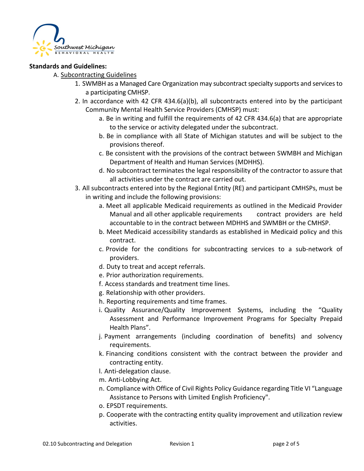

## **Standards and Guidelines:**

# A. Subcontracting Guidelines

- 1. SWMBH as a Managed Care Organization may subcontract specialty supports and services to a participating CMHSP.
- 2. In accordance with 42 CFR 434.6(a)(b), all subcontracts entered into by the participant Community Mental Health Service Providers (CMHSP) must:
	- a. Be in writing and fulfill the requirements of 42 CFR 434.6(a) that are appropriate to the service or activity delegated under the subcontract.
	- b. Be in compliance with all State of Michigan statutes and will be subject to the provisions thereof.
	- c. Be consistent with the provisions of the contract between SWMBH and Michigan Department of Health and Human Services (MDHHS).
	- d. No subcontract terminates the legal responsibility of the contractor to assure that all activities under the contract are carried out.
- 3. All subcontracts entered into by the Regional Entity (RE) and participant CMHSPs, must be in writing and include the following provisions:
	- a. Meet all applicable Medicaid requirements as outlined in the Medicaid Provider Manual and all other applicable requirements contract providers are held accountable to in the contract between MDHHS and SWMBH or the CMHSP.
	- b. Meet Medicaid accessibility standards as established in Medicaid policy and this contract.
	- c. Provide for the conditions for subcontracting services to a sub-network of providers.
	- d. Duty to treat and accept referrals.
	- e. Prior authorization requirements.
	- f. Access standards and treatment time lines.
	- g. Relationship with other providers.
	- h. Reporting requirements and time frames.
	- i. Quality Assurance/Quality Improvement Systems, including the "Quality Assessment and Performance Improvement Programs for Specialty Prepaid Health Plans".
	- j. Payment arrangements (including coordination of benefits) and solvency requirements.
	- k. Financing conditions consistent with the contract between the provider and contracting entity.
	- l. Anti-delegation clause.
	- m. Anti-Lobbying Act.
	- n. Compliance with Office of Civil Rights Policy Guidance regarding Title VI "Language Assistance to Persons with Limited English Proficiency".
	- o. EPSDT requirements.
	- p. Cooperate with the contracting entity quality improvement and utilization review activities.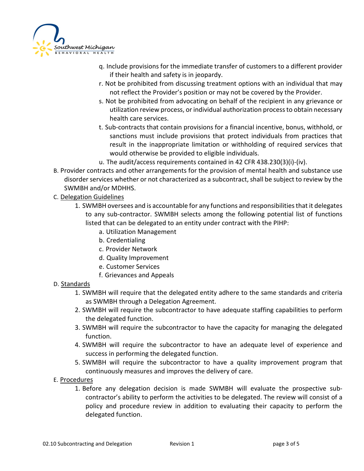

- q. Include provisions for the immediate transfer of customers to a different provider if their health and safety is in jeopardy.
- r. Not be prohibited from discussing treatment options with an individual that may not reflect the Provider's position or may not be covered by the Provider.
- s. Not be prohibited from advocating on behalf of the recipient in any grievance or utilization review process, or individual authorization process to obtain necessary health care services.
- t. Sub-contracts that contain provisions for a financial incentive, bonus, withhold, or sanctions must include provisions that protect individuals from practices that result in the inappropriate limitation or withholding of required services that would otherwise be provided to eligible individuals.
- u. The audit/access requirements contained in 42 CFR 438.230(3)(i)-(iv).
- B. Provider contracts and other arrangements for the provision of mental health and substance use disorder services whether or not characterized as a subcontract, shall be subject to review by the SWMBH and/or MDHHS.
- C. Delegation Guidelines
	- 1. SWMBH oversees and is accountable for any functions and responsibilities that it delegates to any sub-contractor. SWMBH selects among the following potential list of functions listed that can be delegated to an entity under contract with the PIHP:
		- a. Utilization Management
		- b. Credentialing
		- c. Provider Network
		- d. Quality Improvement
		- e. Customer Services
		- f. Grievances and Appeals

# D. Standards

- 1. SWMBH will require that the delegated entity adhere to the same standards and criteria as SWMBH through a Delegation Agreement.
- 2. SWMBH will require the subcontractor to have adequate staffing capabilities to perform the delegated function.
- 3. SWMBH will require the subcontractor to have the capacity for managing the delegated function.
- 4. SWMBH will require the subcontractor to have an adequate level of experience and success in performing the delegated function.
- 5. SWMBH will require the subcontractor to have a quality improvement program that continuously measures and improves the delivery of care.
- E. Procedures
	- 1. Before any delegation decision is made SWMBH will evaluate the prospective subcontractor's ability to perform the activities to be delegated. The review will consist of a policy and procedure review in addition to evaluating their capacity to perform the delegated function.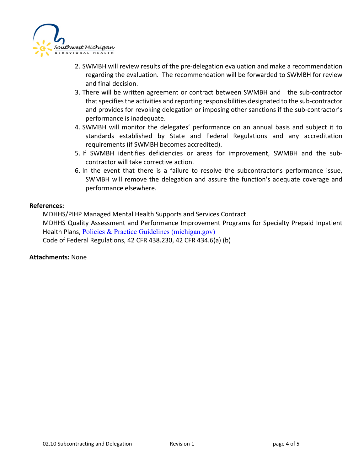

- 2. SWMBH will review results of the pre-delegation evaluation and make a recommendation regarding the evaluation. The recommendation will be forwarded to SWMBH for review and final decision.
- 3. There will be written agreement or contract between SWMBH and the sub-contractor that specifies the activities and reporting responsibilities designated to the sub-contractor and provides for revoking delegation or imposing other sanctions if the sub-contractor's performance is inadequate.
- 4. SWMBH will monitor the delegates' performance on an annual basis and subject it to standards established by State and Federal Regulations and any accreditation requirements (if SWMBH becomes accredited).
- 5. If SWMBH identifies deficiencies or areas for improvement, SWMBH and the subcontractor will take corrective action.
- 6. In the event that there is a failure to resolve the subcontractor's performance issue, SWMBH will remove the delegation and assure the function's adequate coverage and performance elsewhere.

## **References:**

MDHHS/PIHP Managed Mental Health Supports and Services Contract MDHHS Quality Assessment and Performance Improvement Programs for Specialty Prepaid Inpatient Health Plans, [Policies & Practice Guidelines \(michigan.gov\)](https://www.michigan.gov/mdhhs/keep-mi-healthy/mentalhealth/mentalhealth/practiceguidelines) Code of Federal Regulations, 42 CFR 438.230, 42 CFR 434.6(a) (b)

## **Attachments:** None